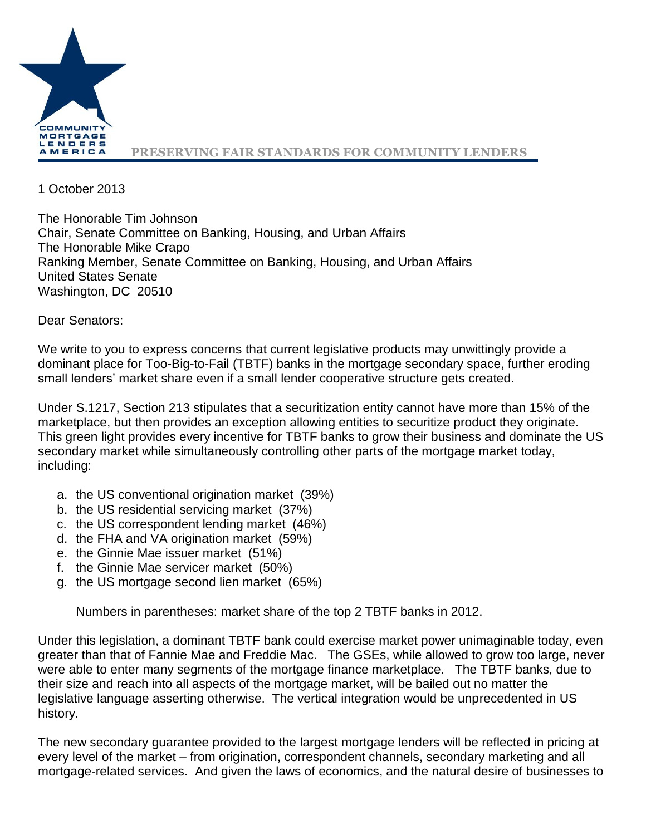

1 October 2013

The Honorable Tim Johnson Chair, Senate Committee on Banking, Housing, and Urban Affairs The Honorable Mike Crapo Ranking Member, Senate Committee on Banking, Housing, and Urban Affairs United States Senate Washington, DC 20510

Dear Senators:

We write to you to express concerns that current legislative products may unwittingly provide a dominant place for Too-Big-to-Fail (TBTF) banks in the mortgage secondary space, further eroding small lenders' market share even if a small lender cooperative structure gets created.

Under S.1217, Section 213 stipulates that a securitization entity cannot have more than 15% of the marketplace, but then provides an exception allowing entities to securitize product they originate. This green light provides every incentive for TBTF banks to grow their business and dominate the US secondary market while simultaneously controlling other parts of the mortgage market today, including:

- a. the US conventional origination market (39%)
- b. the US residential servicing market (37%)
- c. the US correspondent lending market (46%)
- d. the FHA and VA origination market (59%)
- e. the Ginnie Mae issuer market (51%)
- f. the Ginnie Mae servicer market (50%)
- g. the US mortgage second lien market (65%)

Numbers in parentheses: market share of the top 2 TBTF banks in 2012.

Under this legislation, a dominant TBTF bank could exercise market power unimaginable today, even greater than that of Fannie Mae and Freddie Mac. The GSEs, while allowed to grow too large, never were able to enter many segments of the mortgage finance marketplace. The TBTF banks, due to their size and reach into all aspects of the mortgage market, will be bailed out no matter the legislative language asserting otherwise. The vertical integration would be unprecedented in US history.

The new secondary guarantee provided to the largest mortgage lenders will be reflected in pricing at every level of the market – from origination, correspondent channels, secondary marketing and all mortgage-related services. And given the laws of economics, and the natural desire of businesses to